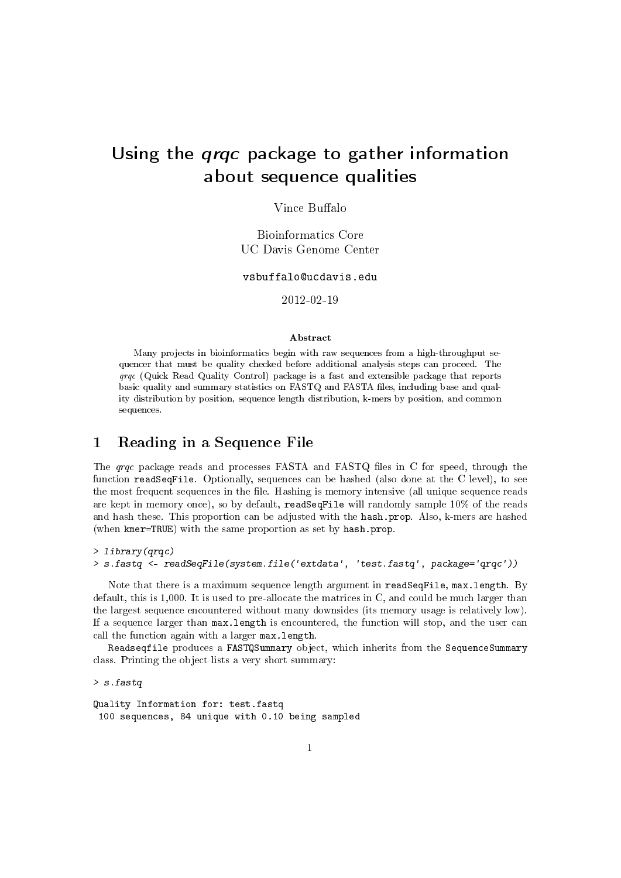# Using the qrqc package to gather information about sequence qualities

Vince Buffalo

Bioinformatics Core UC Davis Genome Center

vsbuffalo@ucdavis.edu

2012-02-19

#### Abstract

Many projects in bioinformatics begin with raw sequences from a high-throughput sequencer that must be quality checked before additional analysis steps can proceed. The qrqc (Quick Read Quality Control) package is a fast and extensible package that reports basic quality and summary statistics on FASTQ and FASTA les, including base and quality distribution by position, sequence length distribution, k-mers by position, and common sequences.

#### 1 Reading in a Sequence File

The  $q\bar{q}c$  package reads and processes FASTA and FASTQ files in C for speed, through the function readSeqFile. Optionally, sequences can be hashed (also done at the C level), to see the most frequent sequences in the file. Hashing is memory intensive (all unique sequence reads are kept in memory once), so by default, readSeqFile will randomly sample 10% of the reads and hash these. This proportion can be adjusted with the hash.prop. Also, k-mers are hashed (when kmer=TRUE) with the same proportion as set by hash.prop.

```
> library(qrqc)
> s.fastq <- readSeqFile(system.file('extdata', 'test.fastq', package='qrqc'))
```
Note that there is a maximum sequence length argument in readSeqFile, max.length. By default, this is 1,000. It is used to pre-allocate the matrices in C, and could be much larger than the largest sequence encountered without many downsides (its memory usage is relatively low). If a sequence larger than max.length is encountered, the function will stop, and the user can call the function again with a larger max.length.

Readseqfile produces a FASTQSummary object, which inherits from the SequenceSummary class. Printing the object lists a very short summary:

> s.fastq

Quality Information for: test.fastq 100 sequences, 84 unique with 0.10 being sampled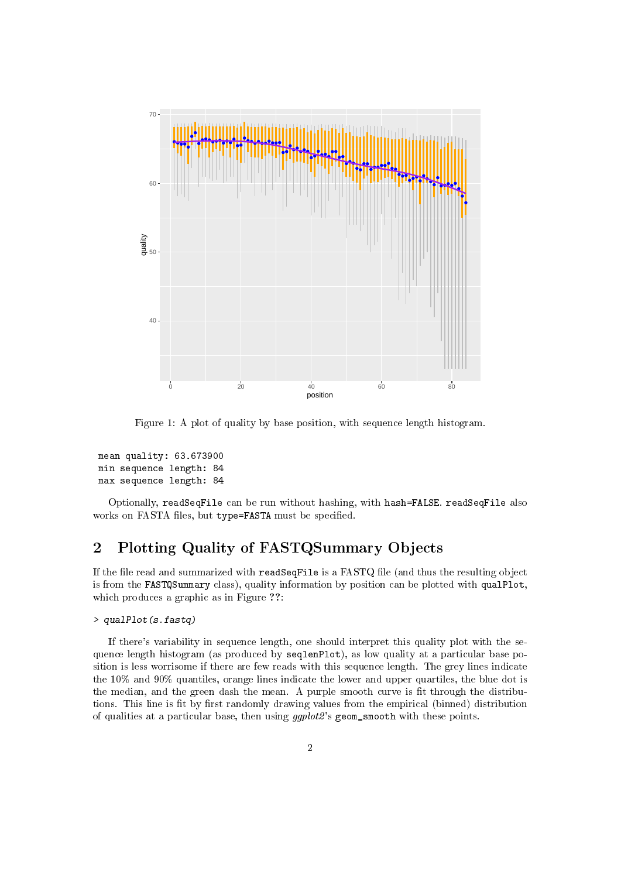

Figure 1: A plot of quality by base position, with sequence length histogram.

```
mean quality: 63.673900
min sequence length: 84
max sequence length: 84
```
Optionally, readSeqFile can be run without hashing, with hash=FALSE. readSeqFile also works on FASTA files, but type=FASTA must be specified.

# 2 Plotting Quality of FASTQSummary Objects

If the file read and summarized with  $\texttt{readSeqFile}$  is a  $\texttt{FASTQ}$  file (and thus the resulting object is from the FASTQSummary class), quality information by position can be plotted with qualPlot, which produces a graphic as in Figure ??:

```
> qualPlot(s.fastq)
```
If there's variability in sequence length, one should interpret this quality plot with the sequence length histogram (as produced by seqlenPlot), as low quality at a particular base position is less worrisome if there are few reads with this sequence length. The grey lines indicate the 10% and 90% quantiles, orange lines indicate the lower and upper quartiles, the blue dot is the median, and the green dash the mean. A purple smooth curve is fit through the distributions. This line is fit by first randomly drawing values from the empirical (binned) distribution of qualities at a particular base, then using  $ggplot2$ 's geom\_smooth with these points.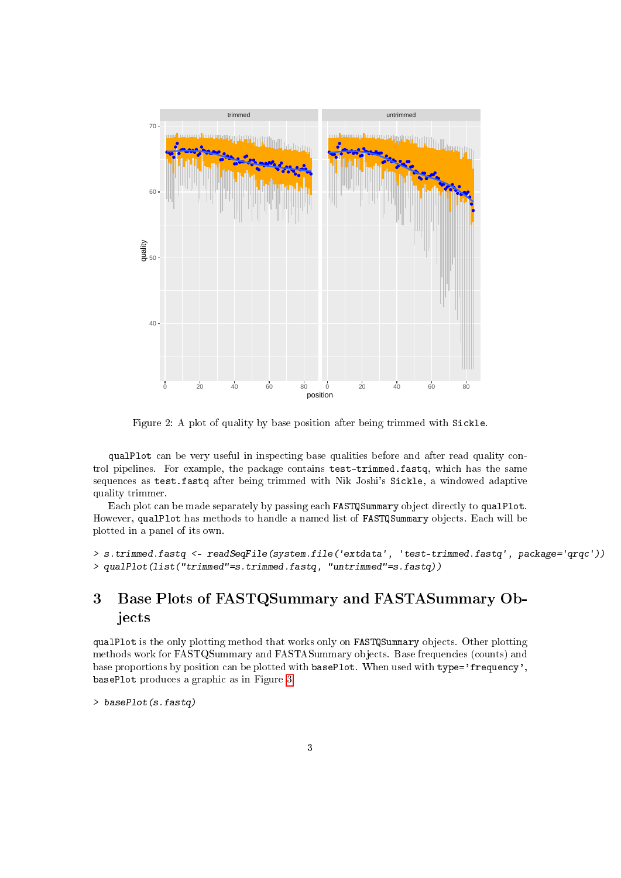

Figure 2: A plot of quality by base position after being trimmed with Sickle.

qualPlot can be very useful in inspecting base qualities before and after read quality control pipelines. For example, the package contains test-trimmed.fastq, which has the same sequences as test.fastq after being trimmed with Nik Joshi's Sickle, a windowed adaptive quality trimmer.

Each plot can be made separately by passing each FASTQSummary object directly to qualPlot. However, qualPlot has methods to handle a named list of FASTQSummary objects. Each will be plotted in a panel of its own.

```
> s.trimmed.fastq <- readSeqFile(system.file('extdata', 'test-trimmed.fastq', package='qrqc'))
> qualPlot(list("trimmed"=s.trimmed.fastq, "untrimmed"=s.fastq))
```
# 3 Base Plots of FASTQSummary and FASTASummary Objects

qualPlot is the only plotting method that works only on FASTQSummary objects. Other plotting methods work for FASTQSummary and FASTASummary objects. Base frequencies (counts) and base proportions by position can be plotted with basePlot. When used with type='frequency', basePlot produces a graphic as in Figure [3:](#page-3-0)

```
> basePlot(s.fastq)
```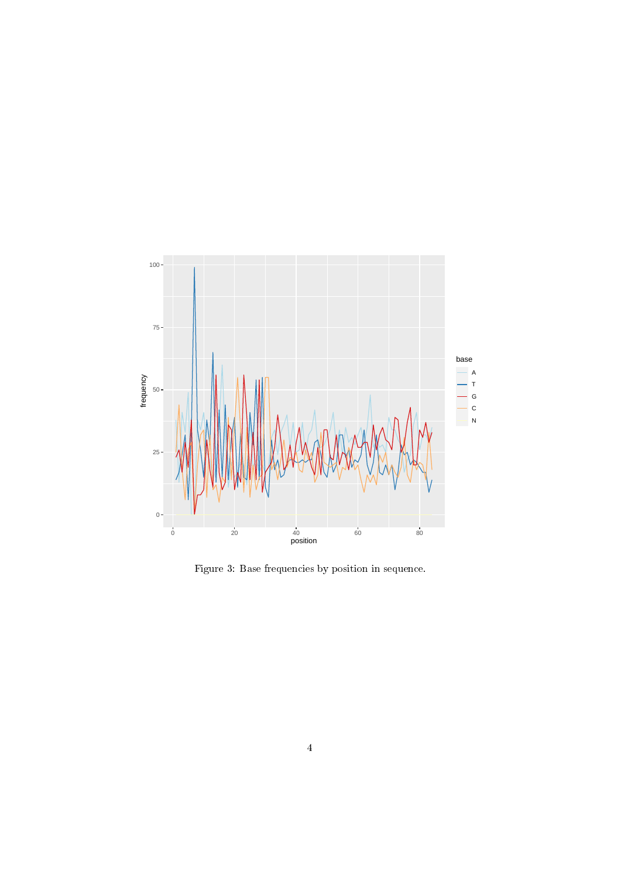

<span id="page-3-0"></span>Figure 3: Base frequencies by position in sequence.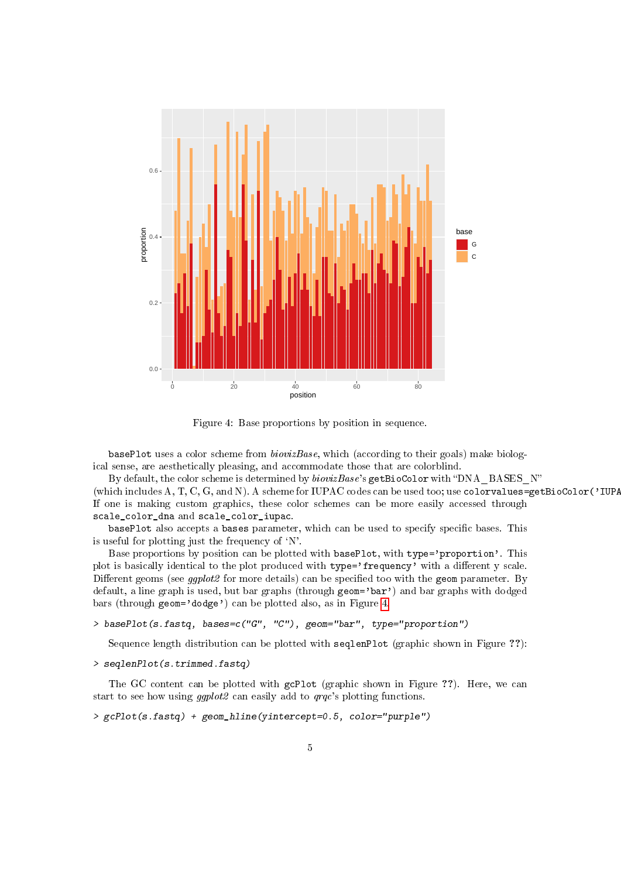

<span id="page-4-0"></span>Figure 4: Base proportions by position in sequence.

basePlot uses a color scheme from biovizBase, which (according to their goals) make biological sense, are aesthetically pleasing, and accommodate those that are colorblind.

By default, the color scheme is determined by  $biovizBase$ 's getBioColor with "DNA\_BASES\_N" (which includes  $A, T, C, G$ , and N). A scheme for IUPAC codes can be used too; use colorvalues=getBioColor('IUPA If one is making custom graphics, these color schemes can be more easily accessed through scale\_color\_dna and scale\_color\_iupac.

basePlot also accepts a bases parameter, which can be used to specify specific bases. This is useful for plotting just the frequency of  $'N'$ .

Base proportions by position can be plotted with basePlot, with type='proportion'. This plot is basically identical to the plot produced with type='frequency' with a different y scale. Different geoms (see *qqplot2* for more details) can be specified too with the geom parameter. By default, a line graph is used, but bar graphs (through geom='bar') and bar graphs with dodged bars (through geom='dodge') can be plotted also, as in Figure [4.](#page-4-0)

```
> basePlot(s.fastq, bases=c("G", "C"), geom="bar", type="proportion")
```
Sequence length distribution can be plotted with seqlenPlot (graphic shown in Figure ??):

```
> seqlenPlot(s.trimmed.fastq)
```
The GC content can be plotted with gcPlot (graphic shown in Figure ??). Here, we can start to see how using *ggplot2* can easily add to *grgc*'s plotting functions.

```
> gcPlot(s.fastq) + geom_hline(yintercept=0.5, color="purple")
```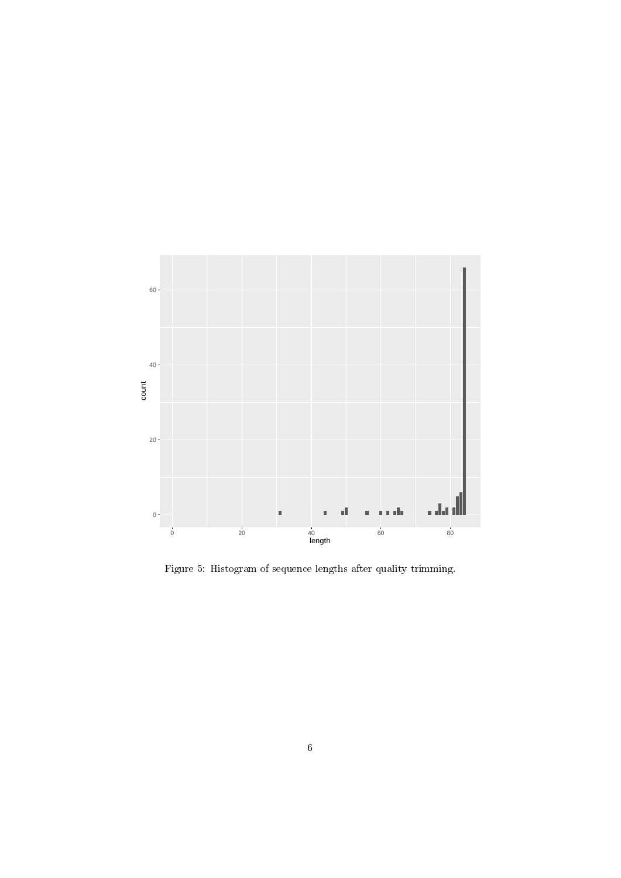

Figure 5: Histogram of sequence lengths after quality trimming.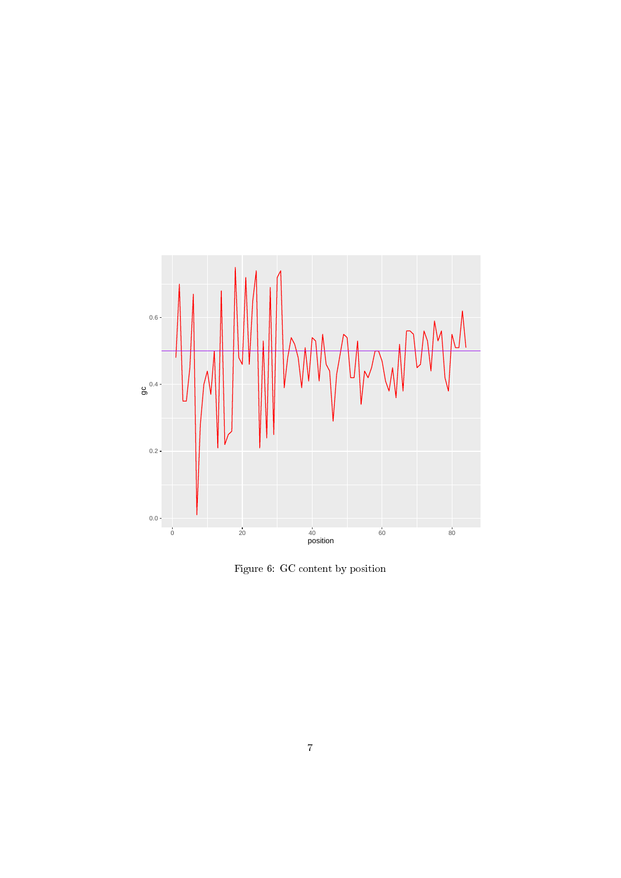

Figure 6: GC content by position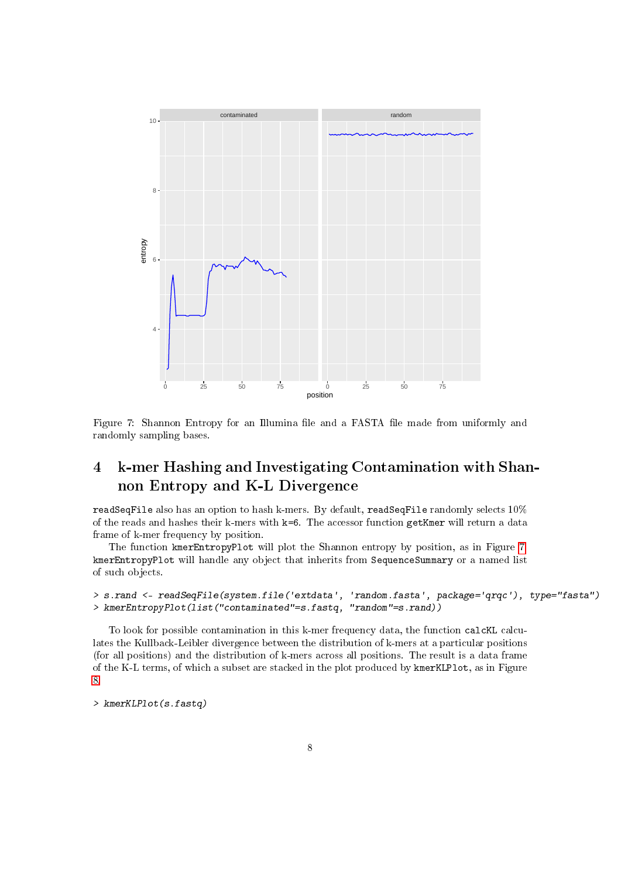

<span id="page-7-0"></span>Figure 7: Shannon Entropy for an Illumina file and a FASTA file made from uniformly and randomly sampling bases.

# 4 k-mer Hashing and Investigating Contamination with Shannon Entropy and K-L Divergence

readSeqFile also has an option to hash k-mers. By default, readSeqFile randomly selects 10% of the reads and hashes their k-mers with k=6. The accessor function getKmer will return a data frame of k-mer frequency by position.

The function kmerEntropyPlot will plot the Shannon entropy by position, as in Figure [7.](#page-7-0) kmerEntropyPlot will handle any object that inherits from SequenceSummary or a named list of such objects.

#### > s.rand <- readSeqFile(system.file('extdata', 'random.fasta', package='qrqc'), type="fasta") > kmerEntropyPlot(list("contaminated"=s.fastq, "random"=s.rand))

To look for possible contamination in this k-mer frequency data, the function calcKL calculates the Kullback-Leibler divergence between the distribution of k-mers at a particular positions (for all positions) and the distribution of k-mers across all positions. The result is a data frame of the K-L terms, of which a subset are stacked in the plot produced by kmerKLPlot, as in Figure [8.](#page-8-0)

> kmerKLPlot(s.fastq)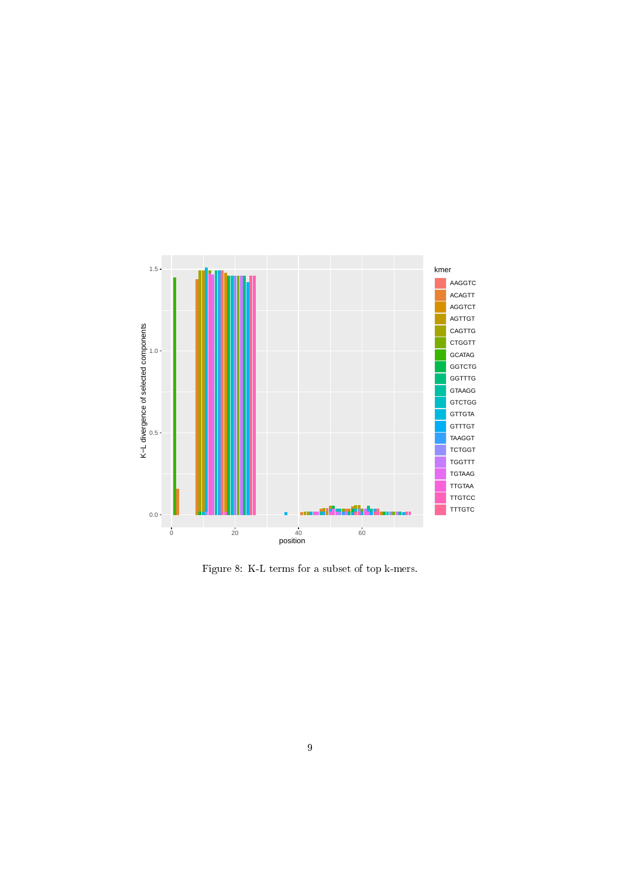

<span id="page-8-0"></span>Figure 8: K-L terms for a subset of top k-mers.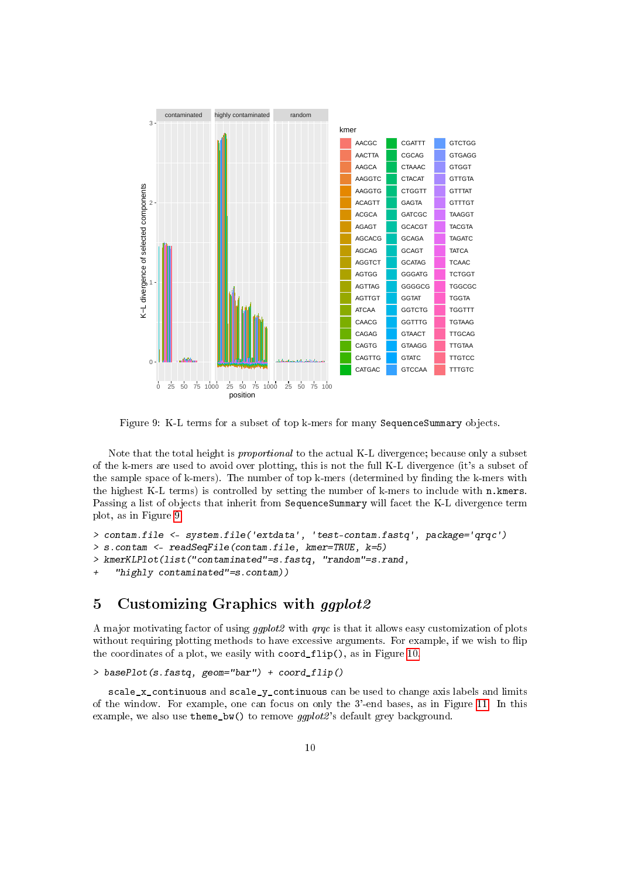

<span id="page-9-0"></span>Figure 9: K-L terms for a subset of top k-mers for many SequenceSummary objects.

Note that the total height is proportional to the actual K-L divergence; because only a subset of the k-mers are used to avoid over plotting, this is not the full K-L divergence (it's a subset of the sample space of k-mers). The number of top k-mers (determined by finding the k-mers with the highest K-L terms) is controlled by setting the number of k-mers to include with n.kmers. Passing a list of objects that inherit from SequenceSummary will facet the K-L divergence term plot, as in Figure [9](#page-9-0)

```
> contam.file <- system.file('extdata', 'test-contam.fastq', package='qrqc')
> s.contam <- readSeqFile(contam.file, kmer=TRUE, k=5)
> kmerKLPlot(list("contaminated"=s.fastq, "random"=s.rand,
```

```
+ "highly contaminated"=s.contam))
```
## 5 Customizing Graphics with *qqplot2*

A major motivating factor of using ggplot2 with qrqc is that it allows easy customization of plots without requiring plotting methods to have excessive arguments. For example, if we wish to flip the coordinates of a plot, we easily with coord\_flip(), as in Figure [10.](#page-10-0)

> basePlot(s.fastq, geom="bar") + coord\_flip()

 $scale_x_{continuous}$  and  $scale_y_{continuous}$  can be used to change axis labels and limits of the window. For example, one can focus on only the 3'-end bases, as in Figure [11.](#page-11-0) In this example, we also use theme\_bw() to remove ggplot2's default grey background.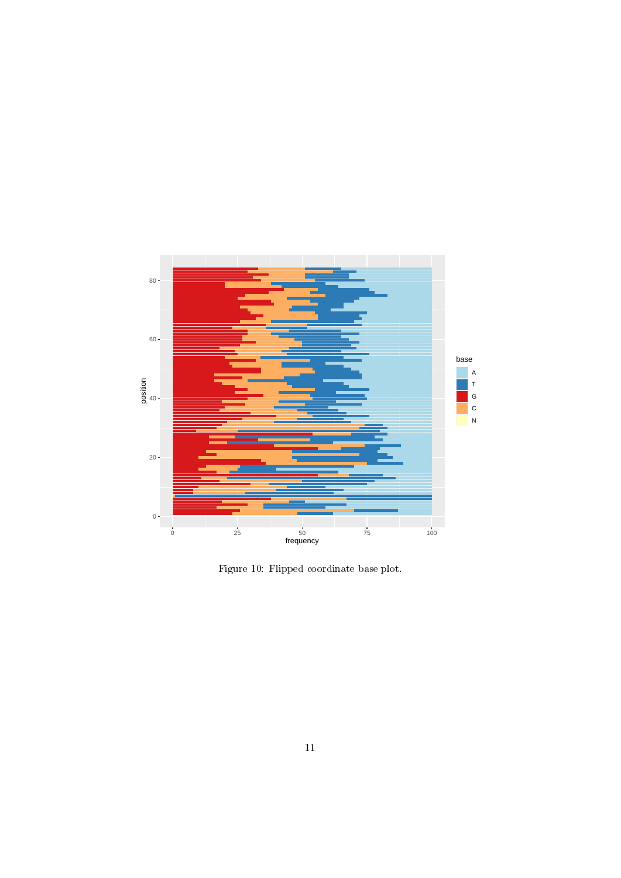

<span id="page-10-0"></span>Figure 10: Flipped coordinate base plot.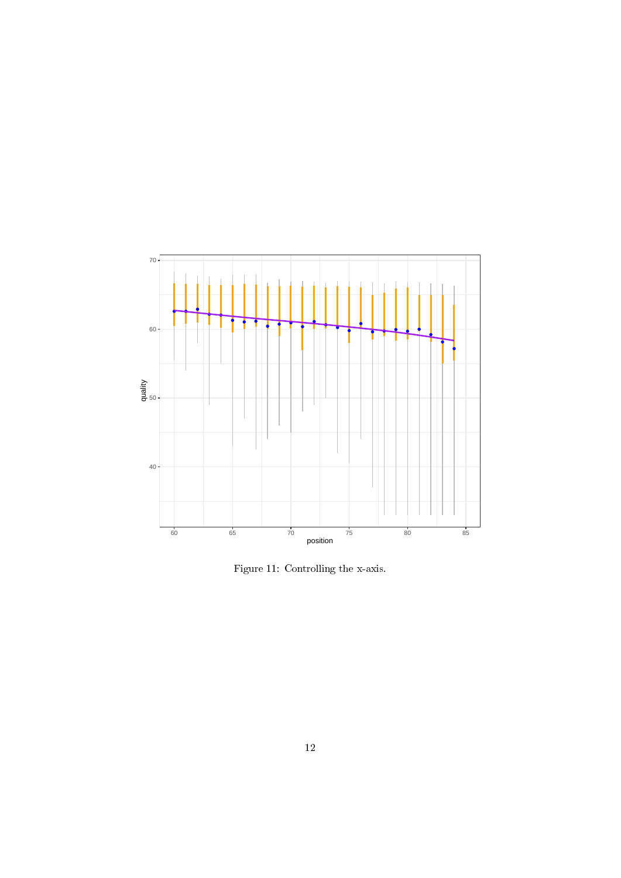

<span id="page-11-0"></span>Figure 11: Controlling the x-axis.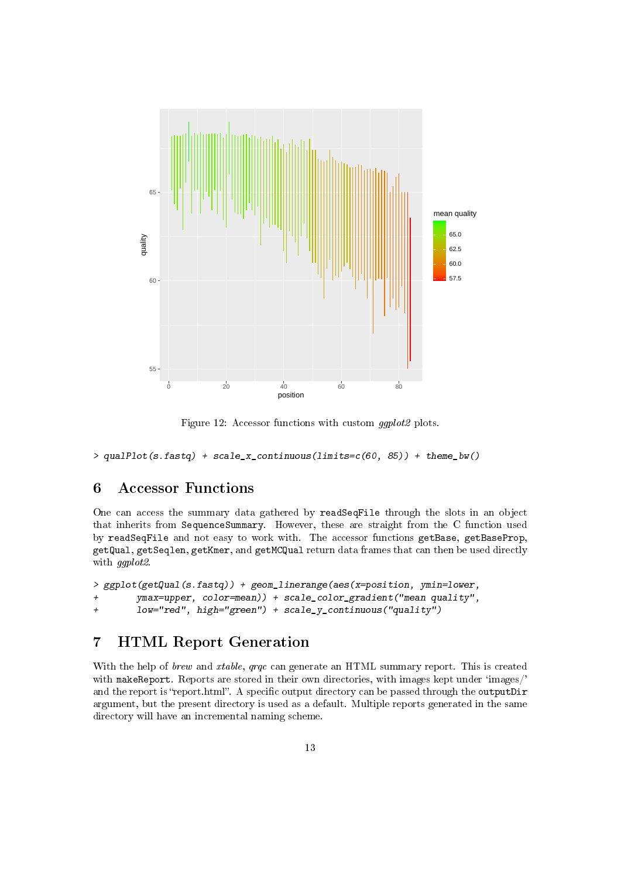

Figure 12: Accessor functions with custom ggplot2 plots.

 $>$  qualPlot(s.fastq) + scale\_x\_continuous(limits=c(60, 85)) + theme\_bw()

### 6 Accessor Functions

One can access the summary data gathered by readSeqFile through the slots in an object that inherits from SequenceSummary. However, these are straight from the C function used by readSeqFile and not easy to work with. The accessor functions getBase, getBaseProp, getQual, getSeqlen, getKmer, and getMCQual return data frames that can then be used directly with ggplot2.

```
> ggplot(getQual(s.fastq)) + geom_linerange(aes(x=position, ymin=lower,
+ ymax=upper, color=mean)) + scale_color_gradient("mean quality",
+ low="red", high="green") + scale_y_continuous("quality")
```
### 7 HTML Report Generation

With the help of *brew* and *xtable, qrqc* can generate an HTML summary report. This is created with makeReport. Reports are stored in their own directories, with images kept under 'images/' and the report is "report.html". A specific output directory can be passed through the outputDir argument, but the present directory is used as a default. Multiple reports generated in the same directory will have an incremental naming scheme.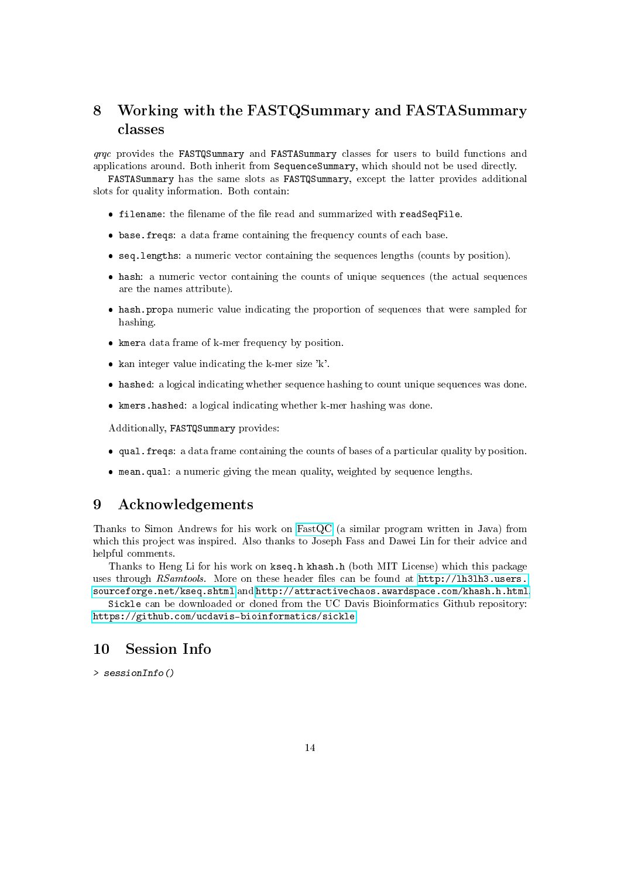# 8 Working with the FASTQSummary and FASTASummary classes

qrqc provides the FASTQSummary and FASTASummary classes for users to build functions and applications around. Both inherit from SequenceSummary, which should not be used directly.

FASTASummary has the same slots as FASTQSummary, except the latter provides additional slots for quality information. Both contain:

- $\bullet$  filename: the filename of the file read and summarized with readSeqFile.
- base.freqs: a data frame containing the frequency counts of each base.
- seq.lengths: a numeric vector containing the sequences lengths (counts by position).
- hash: a numeric vector containing the counts of unique sequences (the actual sequences are the names attribute).
- hash.propa numeric value indicating the proportion of sequences that were sampled for hashing.
- kmera data frame of k-mer frequency by position.
- $\bullet$  kan integer value indicating the k-mer size 'k'.
- hashed: a logical indicating whether sequence hashing to count unique sequences was done.
- kmers.hashed: a logical indicating whether k-mer hashing was done.

Additionally, FASTQSummary provides:

- qual.freqs: a data frame containing the counts of bases of a particular quality by position.
- mean.qual: a numeric giving the mean quality, weighted by sequence lengths.

#### 9 Acknowledgements

Thanks to Simon Andrews for his work on [FastQC](http://www.bioinformatics.bbsrc.ac.uk/projects/fastqc/) (a similar program written in Java) from which this project was inspired. Also thanks to Joseph Fass and Dawei Lin for their advice and helpful comments.

Thanks to Heng Li for his work on kseq.h khash.h (both MIT License) which this package uses through RSamtools. More on these header files can be found at  $http://lh3lh3.users.$ [sourceforge.net/kseq.shtml](http://lh3lh3.users.sourceforge.net/kseq.shtml) and [http://attractivechaos.awardspace.com/khash.h.html.](http://attractivechaos.awardspace.com/khash.h.html)

Sickle can be downloaded or cloned from the UC Davis Bioinformatics Github repository: [https://github.com/ucdavis-bioinformatics/sickle.](https://github.com/ucdavis-bioinformatics/sickle)

### 10 Session Info

> sessionInfo()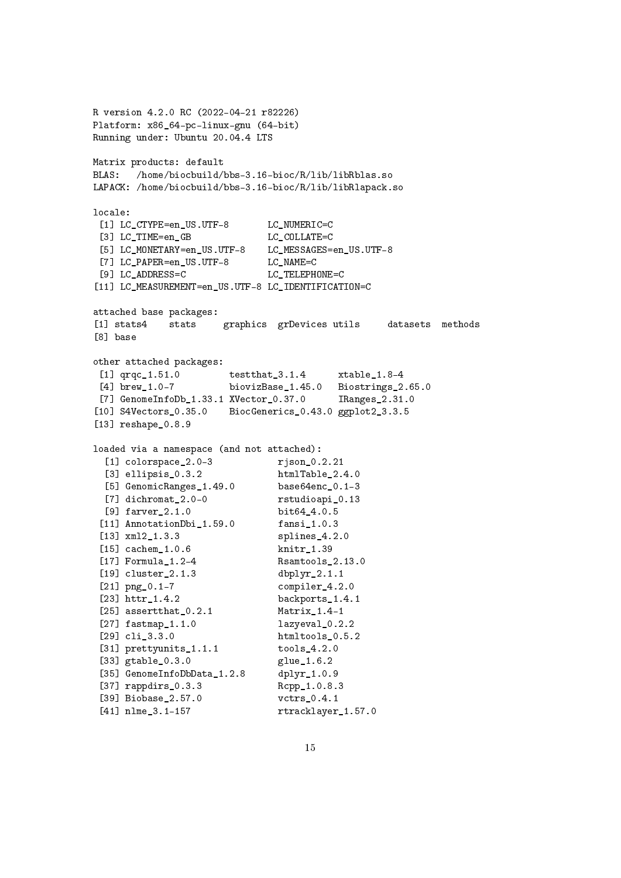```
R version 4.2.0 RC (2022-04-21 r82226)
Platform: x86_64-pc-linux-gnu (64-bit)
Running under: Ubuntu 20.04.4 LTS
Matrix products: default
BLAS: /home/biocbuild/bbs-3.16-bioc/R/lib/libRblas.so
LAPACK: /home/biocbuild/bbs-3.16-bioc/R/lib/libRlapack.so
locale:
 [1] LC_CTYPE=en_US.UTF-8 LC_NUMERIC=C
 [3] LC TIME=en GB LC COLLATE=C
 [5] LC_MONETARY=en_US.UTF-8 LC_MESSAGES=en_US.UTF-8
 [7] LC_PAPER=en_US.UTF-8 LC_NAME=C
 [9] LC ADDRESS=C LC TELEPHONE=C
[11] LC_MEASUREMENT=en_US.UTF-8 LC_IDENTIFICATION=C
attached base packages:
[1] stats4 stats graphics grDevices utils datasets methods
[8] base
other attached packages:
 [1] qrqc 1.51.0 testthat 3.1.4 xtable 1.8-4
 [4] brew_1.0-7 biovizBase_1.45.0 Biostrings_2.65.0
 [7] GenomeInfoDb_1.33.1 XVector_0.37.0 IRanges_2.31.0
[10] S4Vectors_0.35.0 BiocGenerics_0.43.0 ggplot2_3.3.5
[13] reshape_0.8.9
loaded via a namespace (and not attached):
  [1] colorspace_2.0-3 rjson_0.2.21
  [3] ellipsis_0.3.2 htmlTable_2.4.0<br>[5] GenomicRanges_1.49.0 base64enc 0.1-3
  [5] GenomicRanges<sub>1.49.0</sub>
  [7] dichromat_2.0-0 rstudioapi_0.13
 [9] farver_2.1.0 bit64_4.0.5
 [11] AnnotationDbi 1.59.0 fansi 1.0.3
 [13] xml2_1.3.3 splines_4.2.0
 [15] cachem_1.0.6 knitr_1.39
 [17] Formula_1.2-4 Rsamtools_2.13.0
 [19] cluster_2.1.3 dbplyr_2.1.1
 [21] png_0.1-7 compiler_4.2.0
 [23] httr_1.4.2 backports_1.4.1
 [25] assertthat 0.2.1 Matrix 1.4-1
 [27] fastmap 1.1.0 lazyeval 0.2.2
 [29] cli_3.3.0 htmltools_0.5.2
 [31] prettyunits_1.1.1 tools_4.2.0
 [33] gtable_0.3.0 glue_1.6.2
 [35] GenomeInfoDbData_1.2.8 dplyr_1.0.9
 [37] rappdirs_0.3.3 Rcpp_1.0.8.3
 [39] Biobase_2.57.0 vctrs_0.4.1
 [41] nlme_3.1-157 rtracklayer_1.57.0
```